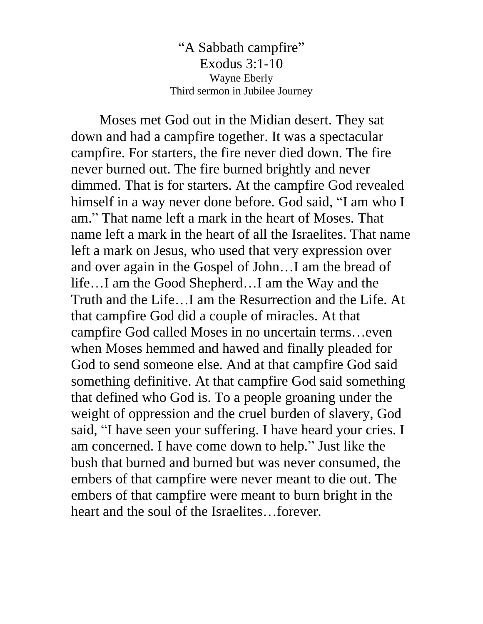"A Sabbath campfire" Exodus 3:1-10 Wayne Eberly Third sermon in Jubilee Journey

Moses met God out in the Midian desert. They sat down and had a campfire together. It was a spectacular campfire. For starters, the fire never died down. The fire never burned out. The fire burned brightly and never dimmed. That is for starters. At the campfire God revealed himself in a way never done before. God said, "I am who I am." That name left a mark in the heart of Moses. That name left a mark in the heart of all the Israelites. That name left a mark on Jesus, who used that very expression over and over again in the Gospel of John…I am the bread of life…I am the Good Shepherd…I am the Way and the Truth and the Life…I am the Resurrection and the Life. At that campfire God did a couple of miracles. At that campfire God called Moses in no uncertain terms…even when Moses hemmed and hawed and finally pleaded for God to send someone else. And at that campfire God said something definitive. At that campfire God said something that defined who God is. To a people groaning under the weight of oppression and the cruel burden of slavery, God said, "I have seen your suffering. I have heard your cries. I am concerned. I have come down to help." Just like the bush that burned and burned but was never consumed, the embers of that campfire were never meant to die out. The embers of that campfire were meant to burn bright in the heart and the soul of the Israelites…forever.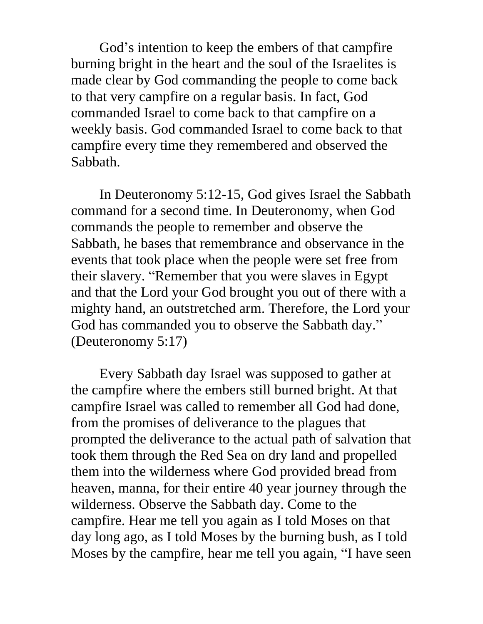God's intention to keep the embers of that campfire burning bright in the heart and the soul of the Israelites is made clear by God commanding the people to come back to that very campfire on a regular basis. In fact, God commanded Israel to come back to that campfire on a weekly basis. God commanded Israel to come back to that campfire every time they remembered and observed the Sabbath.

In Deuteronomy 5:12-15, God gives Israel the Sabbath command for a second time. In Deuteronomy, when God commands the people to remember and observe the Sabbath, he bases that remembrance and observance in the events that took place when the people were set free from their slavery. "Remember that you were slaves in Egypt and that the Lord your God brought you out of there with a mighty hand, an outstretched arm. Therefore, the Lord your God has commanded you to observe the Sabbath day." (Deuteronomy 5:17)

Every Sabbath day Israel was supposed to gather at the campfire where the embers still burned bright. At that campfire Israel was called to remember all God had done, from the promises of deliverance to the plagues that prompted the deliverance to the actual path of salvation that took them through the Red Sea on dry land and propelled them into the wilderness where God provided bread from heaven, manna, for their entire 40 year journey through the wilderness. Observe the Sabbath day. Come to the campfire. Hear me tell you again as I told Moses on that day long ago, as I told Moses by the burning bush, as I told Moses by the campfire, hear me tell you again, "I have seen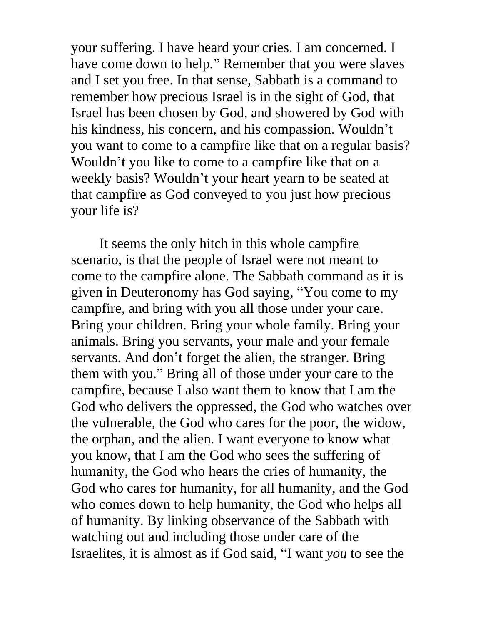your suffering. I have heard your cries. I am concerned. I have come down to help." Remember that you were slaves and I set you free. In that sense, Sabbath is a command to remember how precious Israel is in the sight of God, that Israel has been chosen by God, and showered by God with his kindness, his concern, and his compassion. Wouldn't you want to come to a campfire like that on a regular basis? Wouldn't you like to come to a campfire like that on a weekly basis? Wouldn't your heart yearn to be seated at that campfire as God conveyed to you just how precious your life is?

It seems the only hitch in this whole campfire scenario, is that the people of Israel were not meant to come to the campfire alone. The Sabbath command as it is given in Deuteronomy has God saying, "You come to my campfire, and bring with you all those under your care. Bring your children. Bring your whole family. Bring your animals. Bring you servants, your male and your female servants. And don't forget the alien, the stranger. Bring them with you." Bring all of those under your care to the campfire, because I also want them to know that I am the God who delivers the oppressed, the God who watches over the vulnerable, the God who cares for the poor, the widow, the orphan, and the alien. I want everyone to know what you know, that I am the God who sees the suffering of humanity, the God who hears the cries of humanity, the God who cares for humanity, for all humanity, and the God who comes down to help humanity, the God who helps all of humanity. By linking observance of the Sabbath with watching out and including those under care of the Israelites, it is almost as if God said, "I want *you* to see the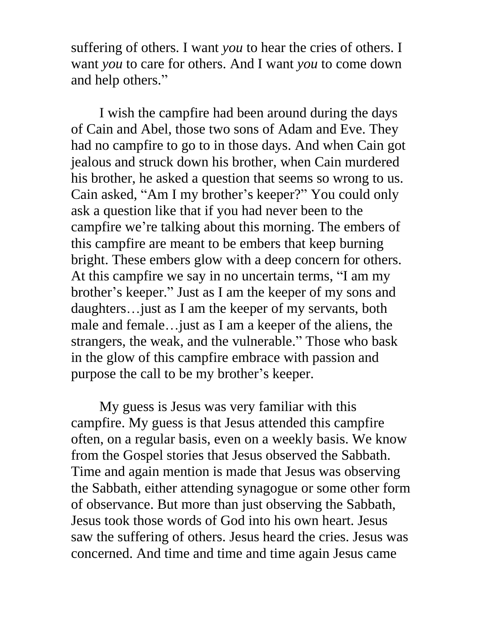suffering of others. I want *you* to hear the cries of others. I want *you* to care for others. And I want *you* to come down and help others."

I wish the campfire had been around during the days of Cain and Abel, those two sons of Adam and Eve. They had no campfire to go to in those days. And when Cain got jealous and struck down his brother, when Cain murdered his brother, he asked a question that seems so wrong to us. Cain asked, "Am I my brother's keeper?" You could only ask a question like that if you had never been to the campfire we're talking about this morning. The embers of this campfire are meant to be embers that keep burning bright. These embers glow with a deep concern for others. At this campfire we say in no uncertain terms, "I am my brother's keeper." Just as I am the keeper of my sons and daughters…just as I am the keeper of my servants, both male and female…just as I am a keeper of the aliens, the strangers, the weak, and the vulnerable." Those who bask in the glow of this campfire embrace with passion and purpose the call to be my brother's keeper.

My guess is Jesus was very familiar with this campfire. My guess is that Jesus attended this campfire often, on a regular basis, even on a weekly basis. We know from the Gospel stories that Jesus observed the Sabbath. Time and again mention is made that Jesus was observing the Sabbath, either attending synagogue or some other form of observance. But more than just observing the Sabbath, Jesus took those words of God into his own heart. Jesus saw the suffering of others. Jesus heard the cries. Jesus was concerned. And time and time and time again Jesus came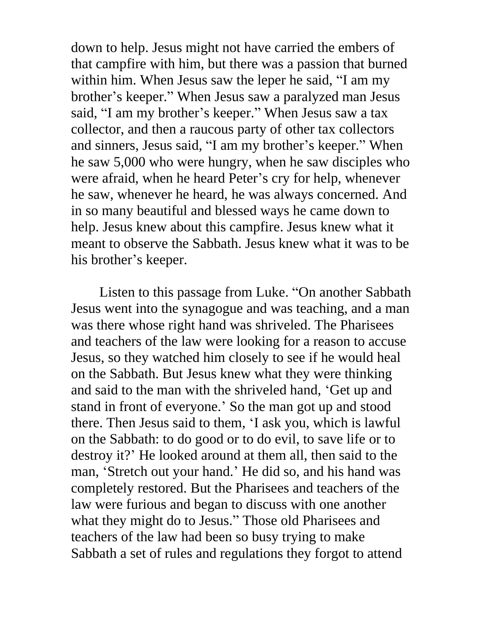down to help. Jesus might not have carried the embers of that campfire with him, but there was a passion that burned within him. When Jesus saw the leper he said, "I am my brother's keeper." When Jesus saw a paralyzed man Jesus said, "I am my brother's keeper." When Jesus saw a tax collector, and then a raucous party of other tax collectors and sinners, Jesus said, "I am my brother's keeper." When he saw 5,000 who were hungry, when he saw disciples who were afraid, when he heard Peter's cry for help, whenever he saw, whenever he heard, he was always concerned. And in so many beautiful and blessed ways he came down to help. Jesus knew about this campfire. Jesus knew what it meant to observe the Sabbath. Jesus knew what it was to be his brother's keeper.

Listen to this passage from Luke. "On another Sabbath Jesus went into the synagogue and was teaching, and a man was there whose right hand was shriveled. The Pharisees and teachers of the law were looking for a reason to accuse Jesus, so they watched him closely to see if he would heal on the Sabbath. But Jesus knew what they were thinking and said to the man with the shriveled hand, 'Get up and stand in front of everyone.' So the man got up and stood there. Then Jesus said to them, 'I ask you, which is lawful on the Sabbath: to do good or to do evil, to save life or to destroy it?' He looked around at them all, then said to the man, 'Stretch out your hand.' He did so, and his hand was completely restored. But the Pharisees and teachers of the law were furious and began to discuss with one another what they might do to Jesus." Those old Pharisees and teachers of the law had been so busy trying to make Sabbath a set of rules and regulations they forgot to attend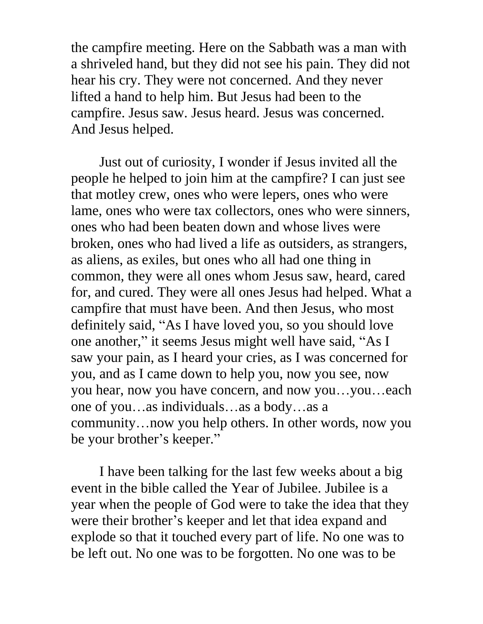the campfire meeting. Here on the Sabbath was a man with a shriveled hand, but they did not see his pain. They did not hear his cry. They were not concerned. And they never lifted a hand to help him. But Jesus had been to the campfire. Jesus saw. Jesus heard. Jesus was concerned. And Jesus helped.

Just out of curiosity, I wonder if Jesus invited all the people he helped to join him at the campfire? I can just see that motley crew, ones who were lepers, ones who were lame, ones who were tax collectors, ones who were sinners, ones who had been beaten down and whose lives were broken, ones who had lived a life as outsiders, as strangers, as aliens, as exiles, but ones who all had one thing in common, they were all ones whom Jesus saw, heard, cared for, and cured. They were all ones Jesus had helped. What a campfire that must have been. And then Jesus, who most definitely said, "As I have loved you, so you should love one another," it seems Jesus might well have said, "As I saw your pain, as I heard your cries, as I was concerned for you, and as I came down to help you, now you see, now you hear, now you have concern, and now you…you…each one of you…as individuals…as a body…as a community…now you help others. In other words, now you be your brother's keeper."

I have been talking for the last few weeks about a big event in the bible called the Year of Jubilee. Jubilee is a year when the people of God were to take the idea that they were their brother's keeper and let that idea expand and explode so that it touched every part of life. No one was to be left out. No one was to be forgotten. No one was to be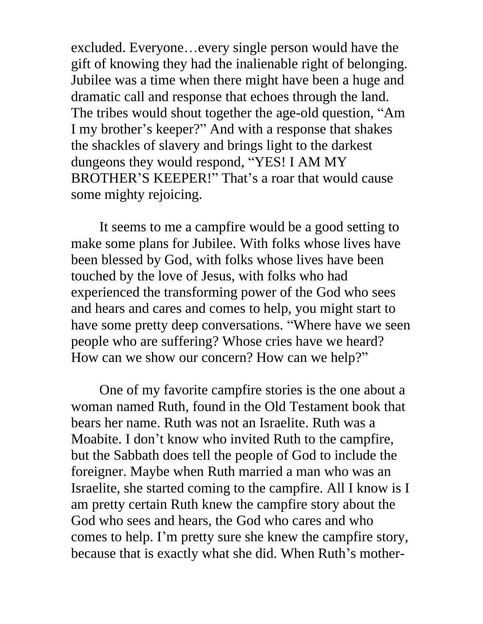excluded. Everyone…every single person would have the gift of knowing they had the inalienable right of belonging. Jubilee was a time when there might have been a huge and dramatic call and response that echoes through the land. The tribes would shout together the age-old question, "Am I my brother's keeper?" And with a response that shakes the shackles of slavery and brings light to the darkest dungeons they would respond, "YES! I AM MY BROTHER'S KEEPER!" That's a roar that would cause some mighty rejoicing.

It seems to me a campfire would be a good setting to make some plans for Jubilee. With folks whose lives have been blessed by God, with folks whose lives have been touched by the love of Jesus, with folks who had experienced the transforming power of the God who sees and hears and cares and comes to help, you might start to have some pretty deep conversations. "Where have we seen people who are suffering? Whose cries have we heard? How can we show our concern? How can we help?"

One of my favorite campfire stories is the one about a woman named Ruth, found in the Old Testament book that bears her name. Ruth was not an Israelite. Ruth was a Moabite. I don't know who invited Ruth to the campfire, but the Sabbath does tell the people of God to include the foreigner. Maybe when Ruth married a man who was an Israelite, she started coming to the campfire. All I know is I am pretty certain Ruth knew the campfire story about the God who sees and hears, the God who cares and who comes to help. I'm pretty sure she knew the campfire story, because that is exactly what she did. When Ruth's mother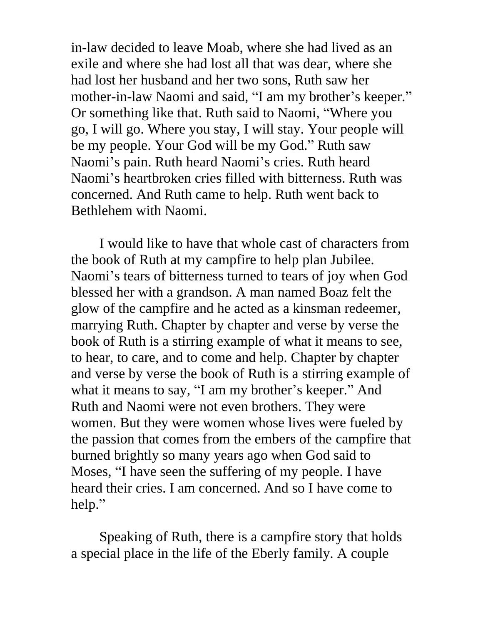in-law decided to leave Moab, where she had lived as an exile and where she had lost all that was dear, where she had lost her husband and her two sons, Ruth saw her mother-in-law Naomi and said, "I am my brother's keeper." Or something like that. Ruth said to Naomi, "Where you go, I will go. Where you stay, I will stay. Your people will be my people. Your God will be my God." Ruth saw Naomi's pain. Ruth heard Naomi's cries. Ruth heard Naomi's heartbroken cries filled with bitterness. Ruth was concerned. And Ruth came to help. Ruth went back to Bethlehem with Naomi.

I would like to have that whole cast of characters from the book of Ruth at my campfire to help plan Jubilee. Naomi's tears of bitterness turned to tears of joy when God blessed her with a grandson. A man named Boaz felt the glow of the campfire and he acted as a kinsman redeemer, marrying Ruth. Chapter by chapter and verse by verse the book of Ruth is a stirring example of what it means to see, to hear, to care, and to come and help. Chapter by chapter and verse by verse the book of Ruth is a stirring example of what it means to say, "I am my brother's keeper." And Ruth and Naomi were not even brothers. They were women. But they were women whose lives were fueled by the passion that comes from the embers of the campfire that burned brightly so many years ago when God said to Moses, "I have seen the suffering of my people. I have heard their cries. I am concerned. And so I have come to help."

Speaking of Ruth, there is a campfire story that holds a special place in the life of the Eberly family. A couple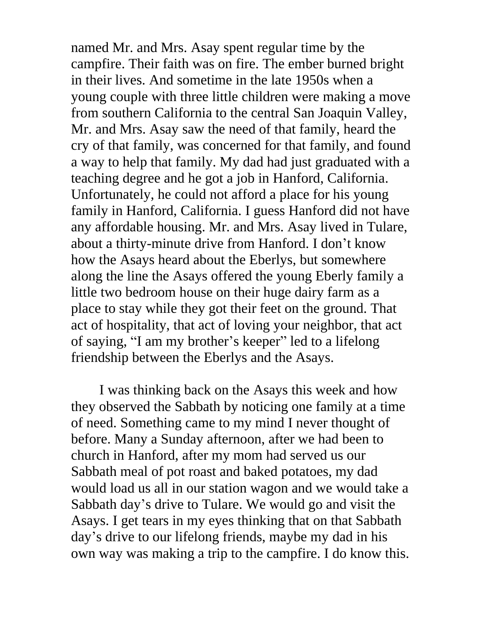named Mr. and Mrs. Asay spent regular time by the campfire. Their faith was on fire. The ember burned bright in their lives. And sometime in the late 1950s when a young couple with three little children were making a move from southern California to the central San Joaquin Valley, Mr. and Mrs. Asay saw the need of that family, heard the cry of that family, was concerned for that family, and found a way to help that family. My dad had just graduated with a teaching degree and he got a job in Hanford, California. Unfortunately, he could not afford a place for his young family in Hanford, California. I guess Hanford did not have any affordable housing. Mr. and Mrs. Asay lived in Tulare, about a thirty-minute drive from Hanford. I don't know how the Asays heard about the Eberlys, but somewhere along the line the Asays offered the young Eberly family a little two bedroom house on their huge dairy farm as a place to stay while they got their feet on the ground. That act of hospitality, that act of loving your neighbor, that act of saying, "I am my brother's keeper" led to a lifelong friendship between the Eberlys and the Asays.

I was thinking back on the Asays this week and how they observed the Sabbath by noticing one family at a time of need. Something came to my mind I never thought of before. Many a Sunday afternoon, after we had been to church in Hanford, after my mom had served us our Sabbath meal of pot roast and baked potatoes, my dad would load us all in our station wagon and we would take a Sabbath day's drive to Tulare. We would go and visit the Asays. I get tears in my eyes thinking that on that Sabbath day's drive to our lifelong friends, maybe my dad in his own way was making a trip to the campfire. I do know this.